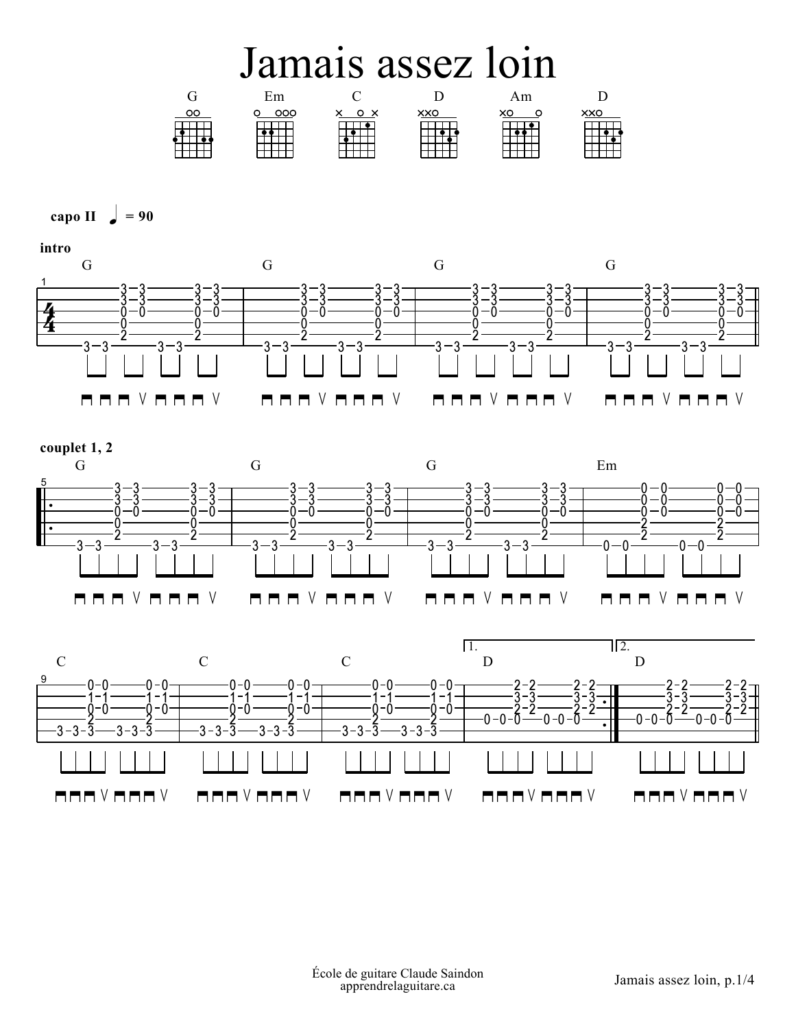## Jamais assez loin









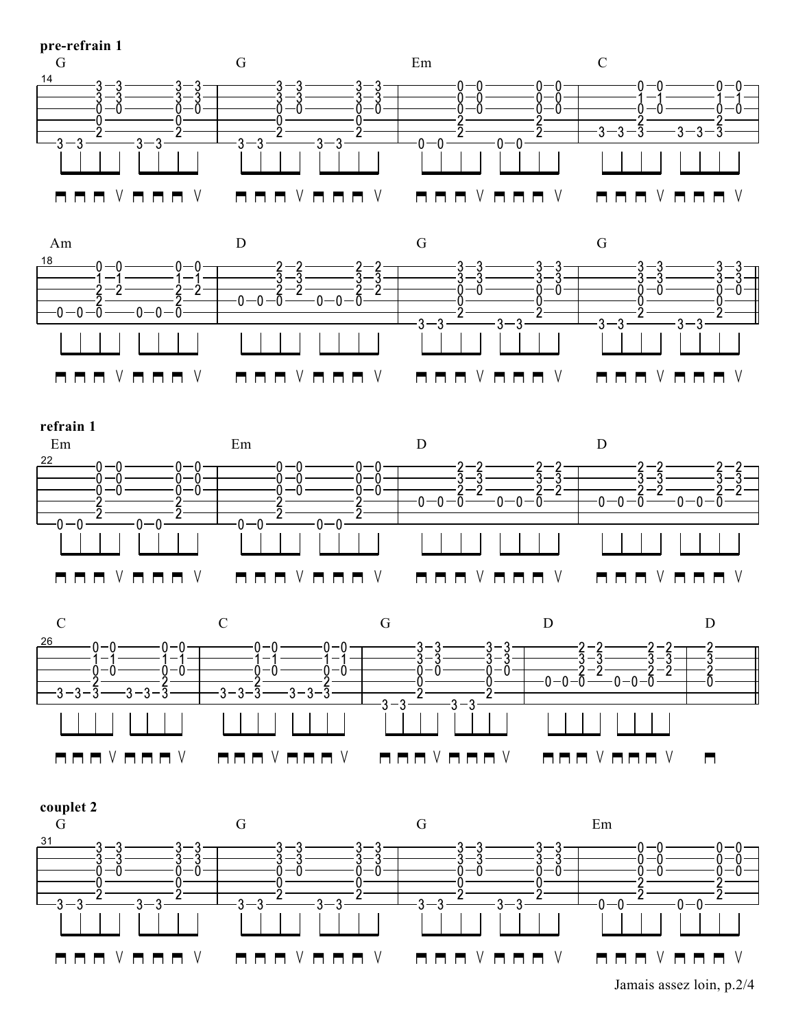









Jamais assez loin, p.2/4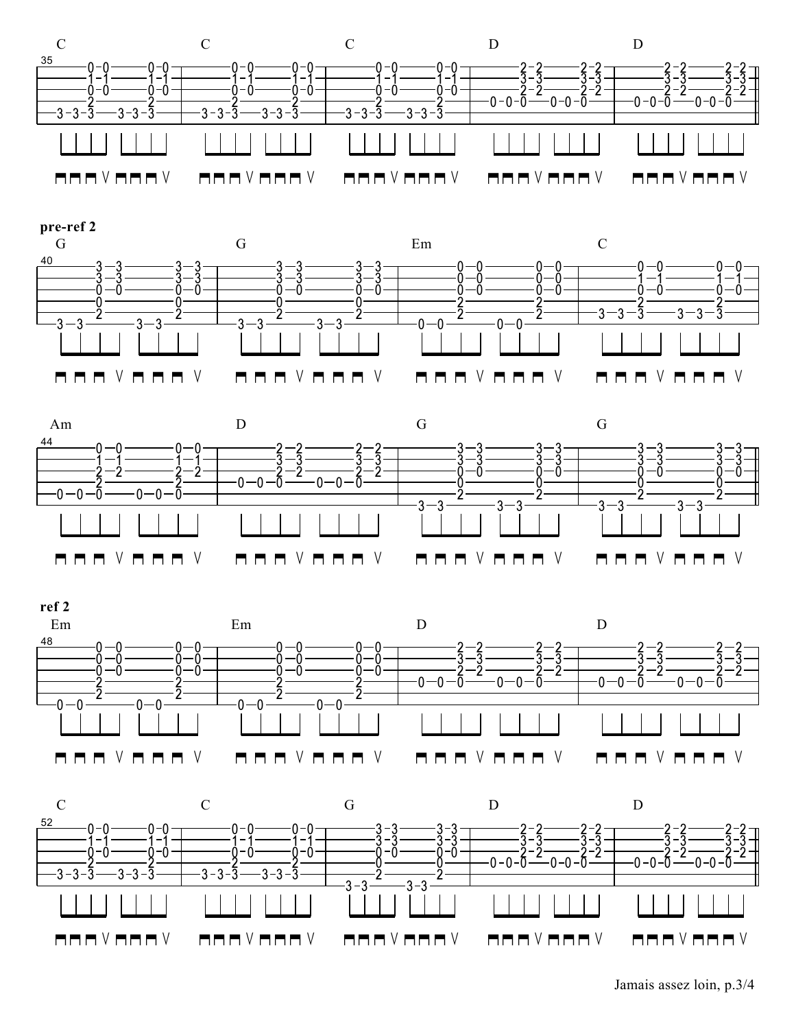